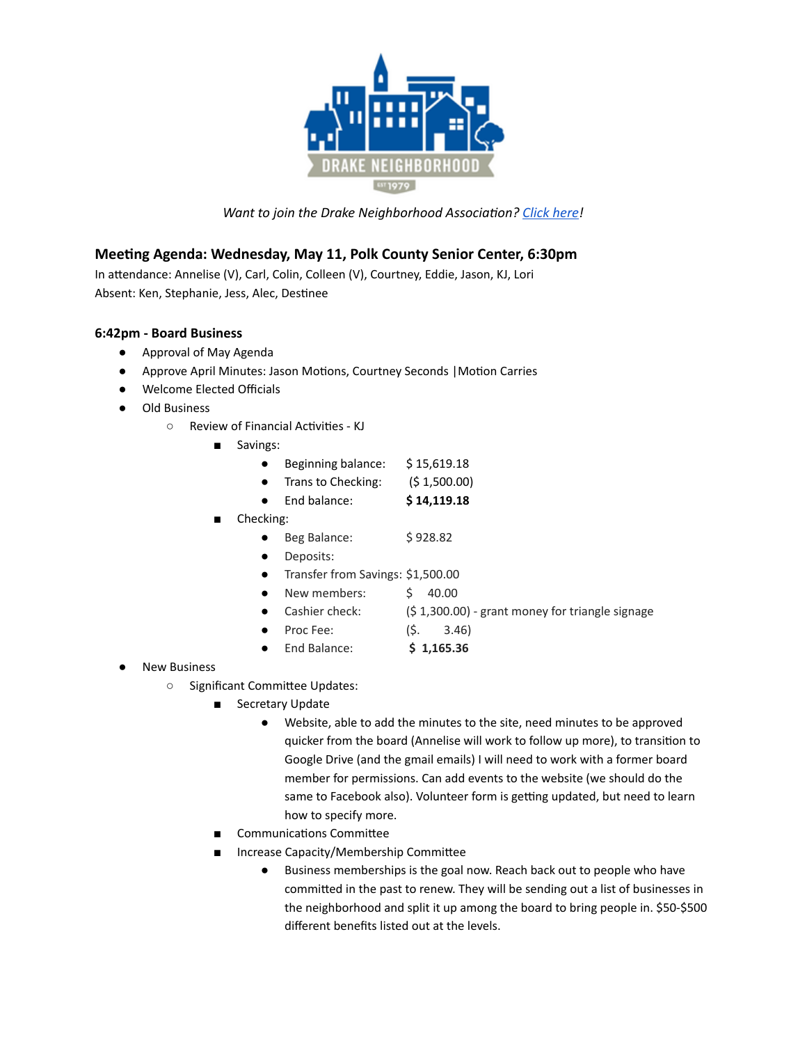

*Want to join the Drake Neighborhood Association? Click [here!](https://dna.wildapricot.org/)* 

# **Meeting Agenda: Wednesday, May 11, Polk County Senior Center, 6:30pm**

In attendance: Annelise (V), Carl, Colin, Colleen (V), Courtney, Eddie, Jason, KJ, Lori Absent: Ken, Stephanie, Jess, Alec, Destinee

## **6:42pm - Board Business**

- Approval of May Agenda
- Approve April Minutes: Jason Motions, Courtney Seconds | Motion Carries
- Welcome Elected Officials
- Old Business
	- o Review of Financial Activities KJ
		- Savings:
			- Beginning balance: \$15,619.18
			- Trans to Checking:  $(5, 1, 500.00)$
			- End balance: **\$ 14,119.18**
		- Checking:
			- Beg Balance: \$928.82
			- Deposits:
			- Transfer from Savings: \$1,500.00
			- New members:  $\frac{1}{2}$  40.00
			- Cashier check:  $(5 1,300.00)$  grant money for triangle signage
			- - Proc Fee: (\$. 3.46)
				- End Balance: **\$ 1,165.36**
- **New Business** 
	- $\circ$  Significant Committee Updates:
		- Secretary Update
			- Website, able to add the minutes to the site, need minutes to be approved quicker from the board (Annelise will work to follow up more), to transition to Google Drive (and the gmail emails) I will need to work with a former board member for permissions. Can add events to the website (we should do the same to Facebook also). Volunteer form is getting updated, but need to learn how to specify more.
		- Communications Committee
		- Increase Capacity/Membership Committee
			- Business memberships is the goal now. Reach back out to people who have committed in the past to renew. They will be sending out a list of businesses in the neighborhood and split it up among the board to bring people in. \$50-\$500 different benefits listed out at the levels.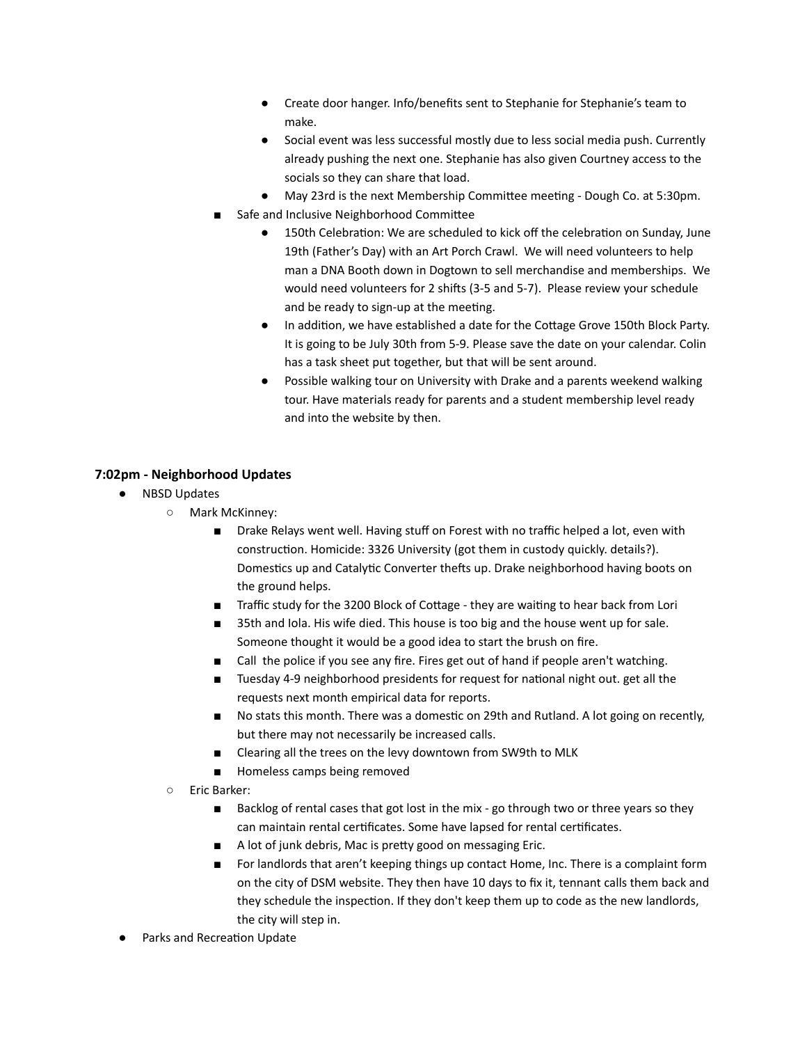- Create door hanger. Info/benefits sent to Stephanie for Stephanie's team to make.
- Social event was less successful mostly due to less social media push. Currently already pushing the next one. Stephanie has also given Courtney access to the socials so they can share that load.
- May 23rd is the next Membership Committee meeting Dough Co. at 5:30pm.
- Safe and Inclusive Neighborhood Committee
	- 150th Celebration: We are scheduled to kick off the celebration on Sunday, June 19th (Father's Day) with an Art Porch Crawl. We will need volunteers to help man a DNA Booth down in Dogtown to sell merchandise and memberships. We would need volunteers for 2 shifts (3-5 and 5-7). Please review your schedule and be ready to sign-up at the meeting.
	- In addition, we have established a date for the Cottage Grove 150th Block Party. It is going to be July 30th from 5-9. Please save the date on your calendar. Colin has a task sheet put together, but that will be sent around.
	- Possible walking tour on University with Drake and a parents weekend walking tour. Have materials ready for parents and a student membership level ready and into the website by then.

## **7:02pm - Neighborhood Updates**

- NBSD Updates
	- Mark McKinney:
		- Drake Relays went well. Having stuff on Forest with no traffic helped a lot, even with construction. Homicide: 3326 University (got them in custody quickly. details?). Domestics up and Catalytic Converter thefts up. Drake neighborhood having boots on the ground helps.
		- Traffic study for the 3200 Block of Cottage they are waiting to hear back from Lori
		- 35th and Iola. His wife died. This house is too big and the house went up for sale. Someone thought it would be a good idea to start the brush on fire.
		- Call the police if you see any fire. Fires get out of hand if people aren't watching.
		- Tuesday 4-9 neighborhood presidents for request for national night out. get all the requests next month empirical data for reports.
		- No stats this month. There was a domestic on 29th and Rutland. A lot going on recently, but there may not necessarily be increased calls.
		- Clearing all the trees on the levy downtown from SW9th to MLK
		- Homeless camps being removed
	- Eric Barker:
		- Backlog of rental cases that got lost in the mix go through two or three years so they can maintain rental certificates. Some have lapsed for rental certificates.
		- A lot of junk debris, Mac is pretty good on messaging Eric.
		- For landlords that aren't keeping things up contact Home, Inc. There is a complaint form on the city of DSM website. They then have 10 days to fix it, tennant calls them back and they schedule the inspection. If they don't keep them up to code as the new landlords, the city will step in.
- Parks and Recreation Update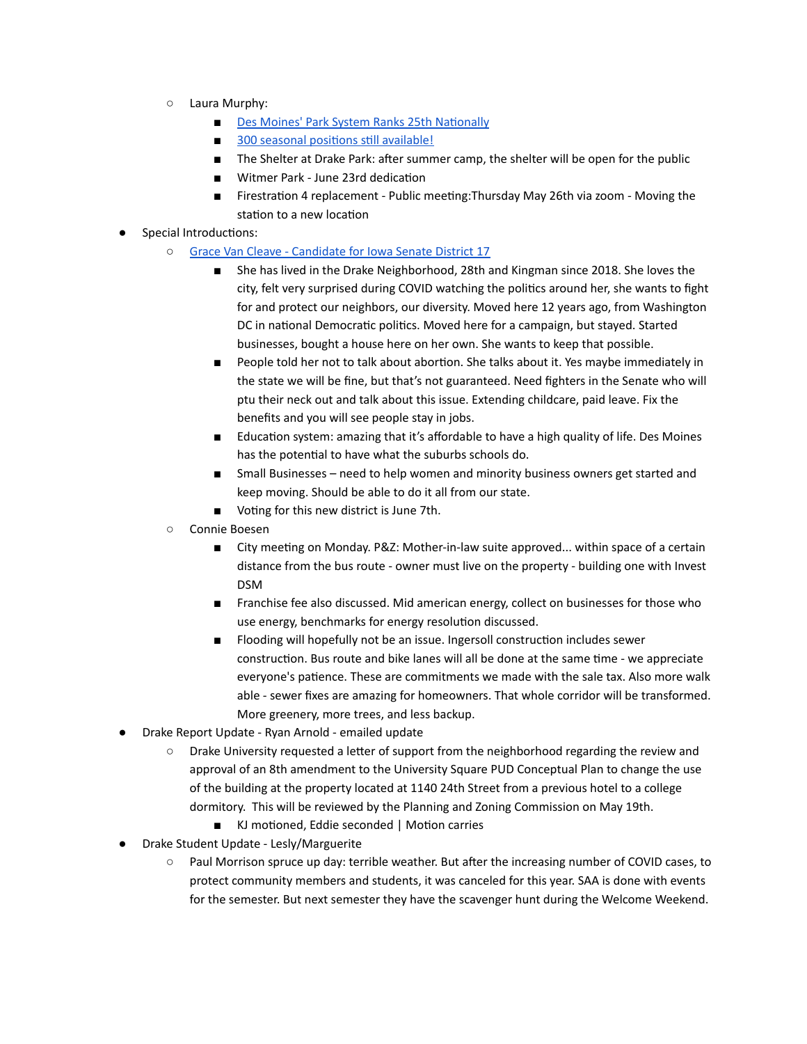- Laura Murphy:
	- Des Moines' Park System Ranks 25th Nationally
	- 300 seasonal positions still [available!](https://www.governmentjobs.com/careers/desmoines)
	- The Shelter at Drake Park: after summer camp, the shelter will be open for the public
	- Witmer Park June 23rd dedication
	- Firestration 4 replacement Public meeting: Thursday May 26th via zoom Moving the station to a new location
- Special Introductions:
	- Grace Van Cleave [Candidate](https://graceforiowa.com/) for Iowa Senate District 17
		- She has lived in the Drake Neighborhood, 28th and Kingman since 2018. She loves the city, felt very surprised during COVID watching the politics around her, she wants to fight for and protect our neighbors, our diversity. Moved here 12 years ago, from Washington DC in national Democratic politics. Moved here for a campaign, but stayed. Started businesses, bought a house here on her own. She wants to keep that possible.
		- People told her not to talk about abortion. She talks about it. Yes maybe immediately in the state we will be fine, but that's not guaranteed. Need fighters in the Senate who will ptu their neck out and talk about this issue. Extending childcare, paid leave. Fix the benefits and you will see people stay in jobs.
		- Education system: amazing that it's affordable to have a high quality of life. Des Moines has the potential to have what the suburbs schools do.
		- Small Businesses need to help women and minority business owners get started and keep moving. Should be able to do it all from our state.
		- Voting for this new district is June 7th.
	- Connie Boesen
		- City meeting on Monday. P&Z: Mother-in-law suite approved... within space of a certain distance from the bus route - owner must live on the property - building one with Invest DSM
		- Franchise fee also discussed. Mid american energy, collect on businesses for those who use energy, benchmarks for energy resolution discussed.
		- Flooding will hopefully not be an issue. Ingersoll construction includes sewer construction. Bus route and bike lanes will all be done at the same time - we appreciate everyone's patience. These are commitments we made with the sale tax. Also more walk able - sewer fixes are amazing for homeowners. That whole corridor will be transformed. More greenery, more trees, and less backup.
- Drake Report Update Ryan Arnold emailed update
	- Drake University requested a letter of support from the neighborhood regarding the review and approval of an 8th amendment to the University Square PUD Conceptual Plan to change the use of the building at the property located at 1140 24th Street from a previous hotel to a college dormitory. This will be reviewed by the Planning and Zoning Commission on May 19th.
		- KJ motioned, Eddie seconded | Motion carries
	- **Drake Student Update Lesly/Marguerite** 
		- Paul Morrison spruce up day: terrible weather. But after the increasing number of COVID cases, to protect community members and students, it was canceled for this year. SAA is done with events for the semester. But next semester they have the scavenger hunt during the Welcome Weekend.